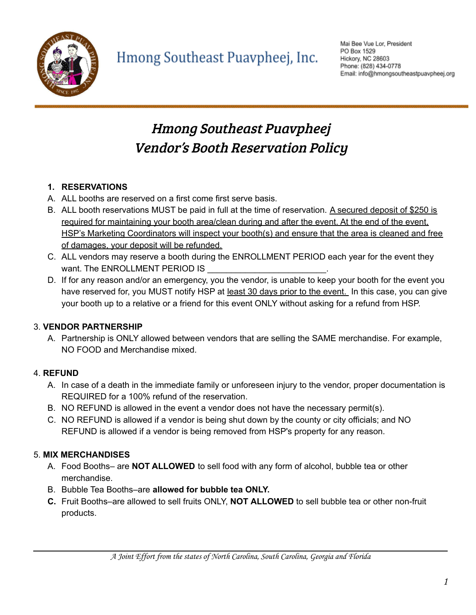

## Hmong Southeast Puavpheej Vendor's Booth Reservation Policy

#### **1. RESERVATIONS**

- A. ALL booths are reserved on a first come first serve basis.
- B. ALL booth reservations MUST be paid in full at the time of reservation. A secured deposit of \$250 is required for maintaining your booth area/clean during and after the event. At the end of the event, HSP's Marketing Coordinators will inspect your booth(s) and ensure that the area is cleaned and free of damages, your deposit will be refunded.
- C. ALL vendors may reserve a booth during the ENROLLMENT PERIOD each year for the event they want. The ENROLLMENT PERIOD IS
- D. If for any reason and/or an emergency, you the vendor, is unable to keep your booth for the event you have reserved for, you MUST notify HSP at least 30 days prior to the event. In this case, you can give your booth up to a relative or a friend for this event ONLY without asking for a refund from HSP.

#### 3. **VENDOR PARTNERSHIP**

A. Partnership is ONLY allowed between vendors that are selling the SAME merchandise. For example, NO FOOD and Merchandise mixed.

#### 4. **REFUND**

- A. In case of a death in the immediate family or unforeseen injury to the vendor, proper documentation is REQUIRED for a 100% refund of the reservation.
- B. NO REFUND is allowed in the event a vendor does not have the necessary permit(s).
- C. NO REFUND is allowed if a vendor is being shut down by the county or city officials; and NO REFUND is allowed if a vendor is being removed from HSP's property for any reason.

### 5. **MIX MERCHANDISES**

- A. Food Booths– are **NOT ALLOWED** to sell food with any form of alcohol, bubble tea or other merchandise.
- B. Bubble Tea Booths–are **allowed for bubble tea ONLY.**
- **C.** Fruit Booths–are allowed to sell fruits ONLY, **NOT ALLOWED** to sell bubble tea or other non-fruit products.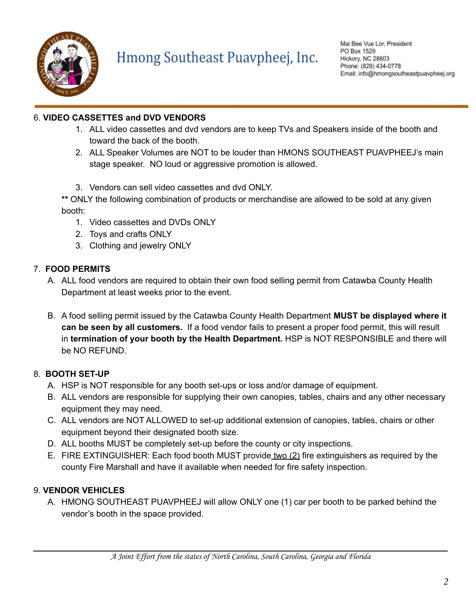

## Hmong Southeast Puavpheej, Inc.

#### 6. **VIDEO CASSETTES and DVD VENDORS**

- 1. ALL video cassettes and dvd vendors are to keep TVs and Speakers inside of the booth and toward the back of the booth.
- 2. ALL Speaker Volumes are NOT to be louder than HMONS SOUTHEAST PUAVPHEEJ's main stage speaker. NO loud or aggressive promotion is allowed.
- 3. Vendors can sell video cassettes and dvd ONLY.

**\*\*** ONLY the following combination of products or merchandise are allowed to be sold at any given booth:

- 1. Video cassettes and DVDs ONLY
- 2. Toys and crafts ONLY
- 3. Clothing and jewelry ONLY

#### 7. **FOOD PERMITS**

- A. ALL food vendors are required to obtain their own food selling permit from Catawba County Health Department at least weeks prior to the event.
- B. A food selling permit issued by the Catawba County Health Department **MUST be displayed where it can be seen by all customers.** If a food vendor fails to present a proper food permit, this will result in **termination of your booth by the Health Department.** HSP is NOT RESPONSIBLE and there will be NO REFUND.

### 8. **BOOTH SET-UP**

- A. HSP is NOT responsible for any booth set-ups or loss and/or damage of equipment.
- B. ALL vendors are responsible for supplying their own canopies, tables, chairs and any other necessary equipment they may need.
- C. ALL vendors are NOT ALLOWED to set-up additional extension of canopies, tables, chairs or other equipment beyond their designated booth size.
- D. ALL booths MUST be completely set-up before the county or city inspections.
- E. FIRE EXTINGUISHER: Each food booth MUST provide two (2) fire extinguishers as required by the county Fire Marshall and have it available when needed for fire safety inspection.

### 9. **VENDOR VEHICLES**

A. HMONG SOUTHEAST PUAVPHEEJ will allow ONLY one (1) car per booth to be parked behind the vendor's booth in the space provided.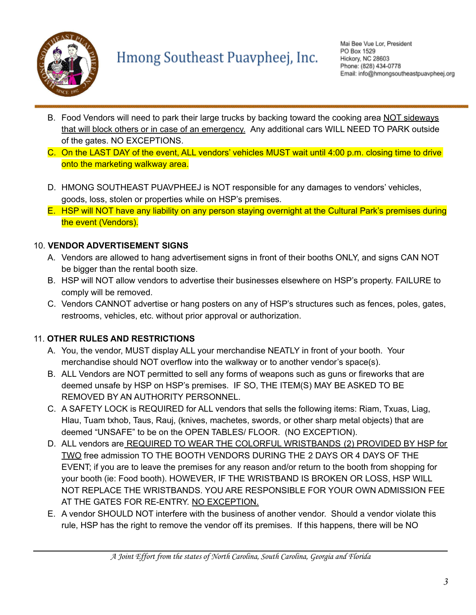

# Hmong Southeast Puavpheej, Inc.

- B. Food Vendors will need to park their large trucks by backing toward the cooking area NOT sideways that will block others or in case of an emergency. Any additional cars WILL NEED TO PARK outside of the gates. NO EXCEPTIONS.
- C. On the LAST DAY of the event, ALL vendors' vehicles MUST wait until 4:00 p.m. closing time to drive onto the marketing walkway area.
- D. HMONG SOUTHEAST PUAVPHEEJ is NOT responsible for any damages to vendors' vehicles, goods, loss, stolen or properties while on HSP's premises.
- E. HSP will NOT have any liability on any person staying overnight at the Cultural Park's premises during the event (Vendors).

#### 10. **VENDOR ADVERTISEMENT SIGNS**

- A. Vendors are allowed to hang advertisement signs in front of their booths ONLY, and signs CAN NOT be bigger than the rental booth size.
- B. HSP will NOT allow vendors to advertise their businesses elsewhere on HSP's property. FAILURE to comply will be removed.
- C. Vendors CANNOT advertise or hang posters on any of HSP's structures such as fences, poles, gates, restrooms, vehicles, etc. without prior approval or authorization.

#### 11. **OTHER RULES AND RESTRICTIONS**

- A. You, the vendor, MUST display ALL your merchandise NEATLY in front of your booth. Your merchandise should NOT overflow into the walkway or to another vendor's space(s).
- B. ALL Vendors are NOT permitted to sell any forms of weapons such as guns or fireworks that are deemed unsafe by HSP on HSP's premises. IF SO, THE ITEM(S) MAY BE ASKED TO BE REMOVED BY AN AUTHORITY PERSONNEL.
- C. A SAFETY LOCK is REQUIRED for ALL vendors that sells the following items: Riam, Txuas, Liag, Hlau, Tuam txhob, Taus, Rauj, (knives, machetes, swords, or other sharp metal objects) that are deemed "UNSAFE" to be on the OPEN TABLES/ FLOOR. (NO EXCEPTION).
- D. ALL vendors are REQUIRED TO WEAR THE COLORFUL WRISTBANDS (2) PROVIDED BY HSP for TWO free admission TO THE BOOTH VENDORS DURING THE 2 DAYS OR 4 DAYS OF THE EVENT; if you are to leave the premises for any reason and/or return to the booth from shopping for your booth (ie: Food booth). HOWEVER, IF THE WRISTBAND IS BROKEN OR LOSS, HSP WILL NOT REPLACE THE WRISTBANDS. YOU ARE RESPONSIBLE FOR YOUR OWN ADMISSION FEE AT THE GATES FOR RE-ENTRY. NO EXCEPTION.
- E. A vendor SHOULD NOT interfere with the business of another vendor. Should a vendor violate this rule, HSP has the right to remove the vendor off its premises. If this happens, there will be NO